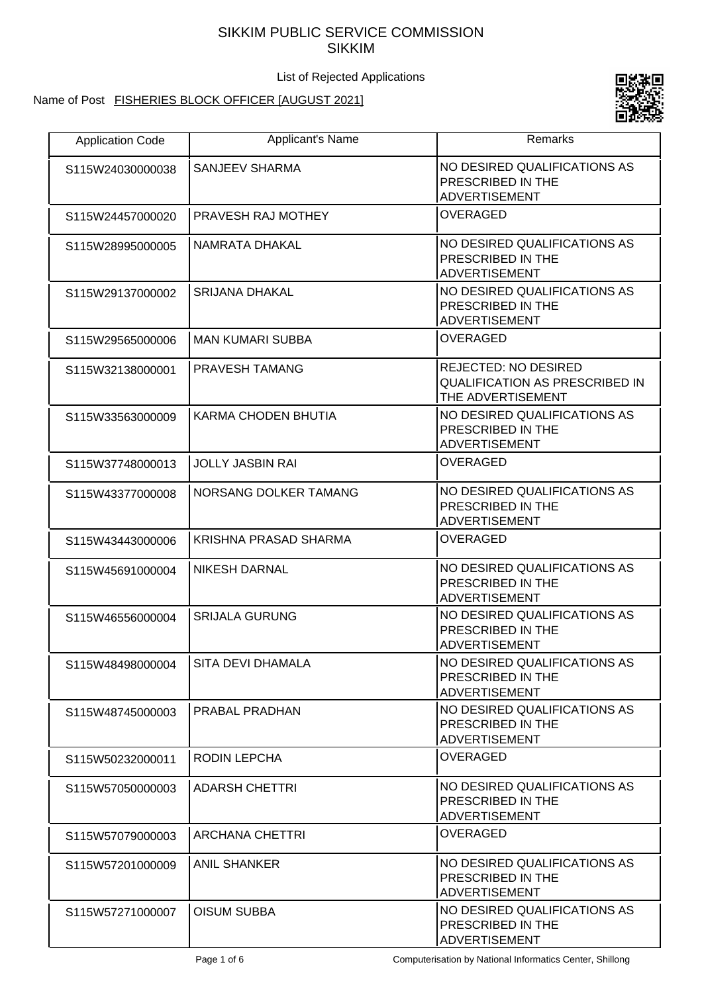## SIKKIM PUBLIC SERVICE COMMISSION SIKKIM

List of Rejected Applications

# Name of Post FISHERIES BLOCK OFFICER [AUGUST 2021]



| <b>Application Code</b> | Applicant's Name             | <b>Remarks</b>                                                                            |
|-------------------------|------------------------------|-------------------------------------------------------------------------------------------|
| S115W24030000038        | <b>SANJEEV SHARMA</b>        | NO DESIRED QUALIFICATIONS AS<br>PRESCRIBED IN THE<br>ADVERTISEMENT                        |
| S115W24457000020        | PRAVESH RAJ MOTHEY           | <b>OVERAGED</b>                                                                           |
| S115W28995000005        | NAMRATA DHAKAL               | NO DESIRED QUALIFICATIONS AS<br>PRESCRIBED IN THE<br><b>ADVERTISEMENT</b>                 |
| S115W29137000002        | <b>SRIJANA DHAKAL</b>        | NO DESIRED QUALIFICATIONS AS<br>PRESCRIBED IN THE<br><b>ADVERTISEMENT</b>                 |
| S115W29565000006        | <b>MAN KUMARI SUBBA</b>      | <b>OVERAGED</b>                                                                           |
| S115W32138000001        | <b>PRAVESH TAMANG</b>        | <b>REJECTED: NO DESIRED</b><br><b>QUALIFICATION AS PRESCRIBED IN</b><br>THE ADVERTISEMENT |
| S115W33563000009        | KARMA CHODEN BHUTIA          | NO DESIRED QUALIFICATIONS AS<br>PRESCRIBED IN THE<br><b>ADVERTISEMENT</b>                 |
| S115W37748000013        | <b>JOLLY JASBIN RAI</b>      | <b>OVERAGED</b>                                                                           |
| S115W43377000008        | NORSANG DOLKER TAMANG        | NO DESIRED QUALIFICATIONS AS<br>PRESCRIBED IN THE<br><b>ADVERTISEMENT</b>                 |
| S115W43443000006        | <b>KRISHNA PRASAD SHARMA</b> | <b>OVERAGED</b>                                                                           |
| S115W45691000004        | <b>NIKESH DARNAL</b>         | NO DESIRED QUALIFICATIONS AS<br>PRESCRIBED IN THE<br><b>ADVERTISEMENT</b>                 |
| S115W46556000004        | <b>SRIJALA GURUNG</b>        | NO DESIRED QUALIFICATIONS AS<br>PRESCRIBED IN THE<br>ADVERTISEMENT                        |
| S115W48498000004        | SITA DEVI DHAMALA            | NO DESIRED QUALIFICATIONS AS<br>PRESCRIBED IN THE<br><b>ADVERTISEMENT</b>                 |
| S115W48745000003        | PRABAL PRADHAN               | NO DESIRED QUALIFICATIONS AS<br>PRESCRIBED IN THE<br><b>ADVERTISEMENT</b>                 |
| S115W50232000011        | RODIN LEPCHA                 | <b>OVERAGED</b>                                                                           |
| S115W57050000003        | <b>ADARSH CHETTRI</b>        | NO DESIRED QUALIFICATIONS AS<br>PRESCRIBED IN THE<br>ADVERTISEMENT                        |
| S115W57079000003        | <b>ARCHANA CHETTRI</b>       | <b>OVERAGED</b>                                                                           |
| S115W57201000009        | <b>ANIL SHANKER</b>          | NO DESIRED QUALIFICATIONS AS<br>PRESCRIBED IN THE<br><b>ADVERTISEMENT</b>                 |
| S115W57271000007        | <b>OISUM SUBBA</b>           | NO DESIRED QUALIFICATIONS AS<br>PRESCRIBED IN THE<br>ADVERTISEMENT                        |

Page 1 of 6 Computerisation by National Informatics Center, Shillong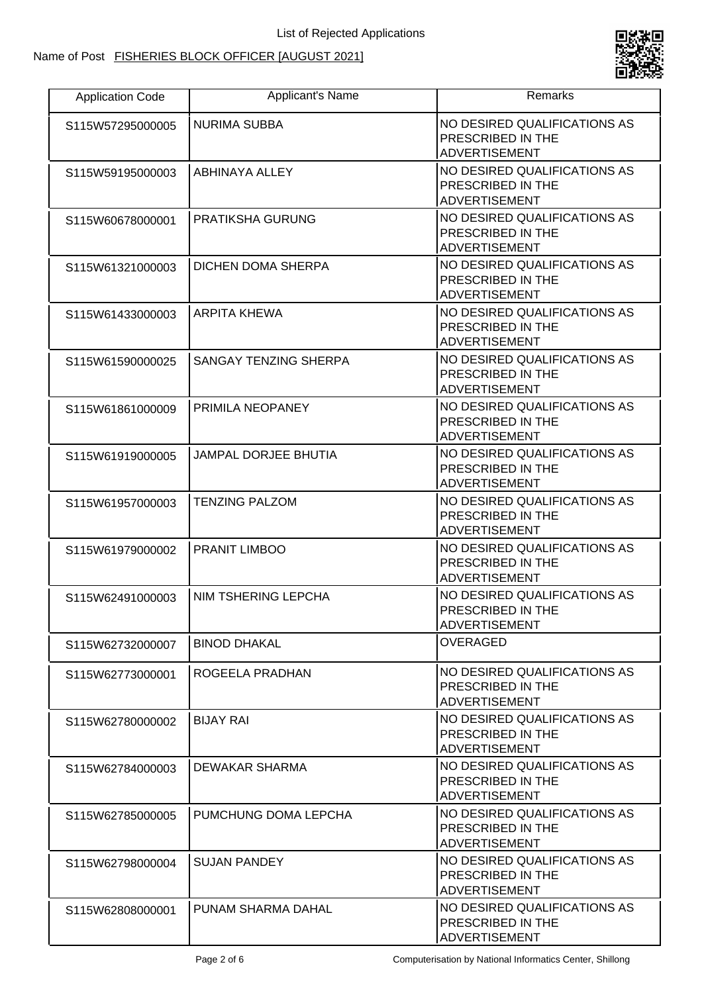

| <b>Application Code</b> | Applicant's Name          | Remarks                                                                   |
|-------------------------|---------------------------|---------------------------------------------------------------------------|
| S115W57295000005        | <b>NURIMA SUBBA</b>       | NO DESIRED QUALIFICATIONS AS<br>PRESCRIBED IN THE<br><b>ADVERTISEMENT</b> |
| S115W59195000003        | ABHINAYA ALLEY            | NO DESIRED QUALIFICATIONS AS<br>PRESCRIBED IN THE<br><b>ADVERTISEMENT</b> |
| S115W60678000001        | <b>PRATIKSHA GURUNG</b>   | NO DESIRED QUALIFICATIONS AS<br>PRESCRIBED IN THE<br><b>ADVERTISEMENT</b> |
| S115W61321000003        | <b>DICHEN DOMA SHERPA</b> | NO DESIRED QUALIFICATIONS AS<br>PRESCRIBED IN THE<br><b>ADVERTISEMENT</b> |
| S115W61433000003        | <b>ARPITA KHEWA</b>       | NO DESIRED QUALIFICATIONS AS<br>PRESCRIBED IN THE<br><b>ADVERTISEMENT</b> |
| S115W61590000025        | SANGAY TENZING SHERPA     | NO DESIRED QUALIFICATIONS AS<br>PRESCRIBED IN THE<br><b>ADVERTISEMENT</b> |
| S115W61861000009        | PRIMILA NEOPANEY          | NO DESIRED QUALIFICATIONS AS<br>PRESCRIBED IN THE<br><b>ADVERTISEMENT</b> |
| S115W61919000005        | JAMPAL DORJEE BHUTIA      | NO DESIRED QUALIFICATIONS AS<br>PRESCRIBED IN THE<br><b>ADVERTISEMENT</b> |
| S115W61957000003        | <b>TENZING PALZOM</b>     | NO DESIRED QUALIFICATIONS AS<br>PRESCRIBED IN THE<br><b>ADVERTISEMENT</b> |
| S115W61979000002        | PRANIT LIMBOO             | NO DESIRED QUALIFICATIONS AS<br>PRESCRIBED IN THE<br><b>ADVERTISEMENT</b> |
| S115W62491000003        | NIM TSHERING LEPCHA       | NO DESIRED QUALIFICATIONS AS<br>PRESCRIBED IN THE<br><b>ADVERTISEMENT</b> |
| S115W62732000007        | <b>BINOD DHAKAL</b>       | <b>OVERAGED</b>                                                           |
| S115W62773000001        | ROGEELA PRADHAN           | NO DESIRED QUALIFICATIONS AS<br>PRESCRIBED IN THE<br><b>ADVERTISEMENT</b> |
| S115W62780000002        | <b>BIJAY RAI</b>          | NO DESIRED QUALIFICATIONS AS<br>PRESCRIBED IN THE<br><b>ADVERTISEMENT</b> |
| S115W62784000003        | DEWAKAR SHARMA            | NO DESIRED QUALIFICATIONS AS<br>PRESCRIBED IN THE<br><b>ADVERTISEMENT</b> |
| S115W62785000005        | PUMCHUNG DOMA LEPCHA      | NO DESIRED QUALIFICATIONS AS<br>PRESCRIBED IN THE<br><b>ADVERTISEMENT</b> |
| S115W62798000004        | <b>SUJAN PANDEY</b>       | NO DESIRED QUALIFICATIONS AS<br>PRESCRIBED IN THE<br><b>ADVERTISEMENT</b> |
| S115W62808000001        | PUNAM SHARMA DAHAL        | NO DESIRED QUALIFICATIONS AS<br>PRESCRIBED IN THE<br>ADVERTISEMENT        |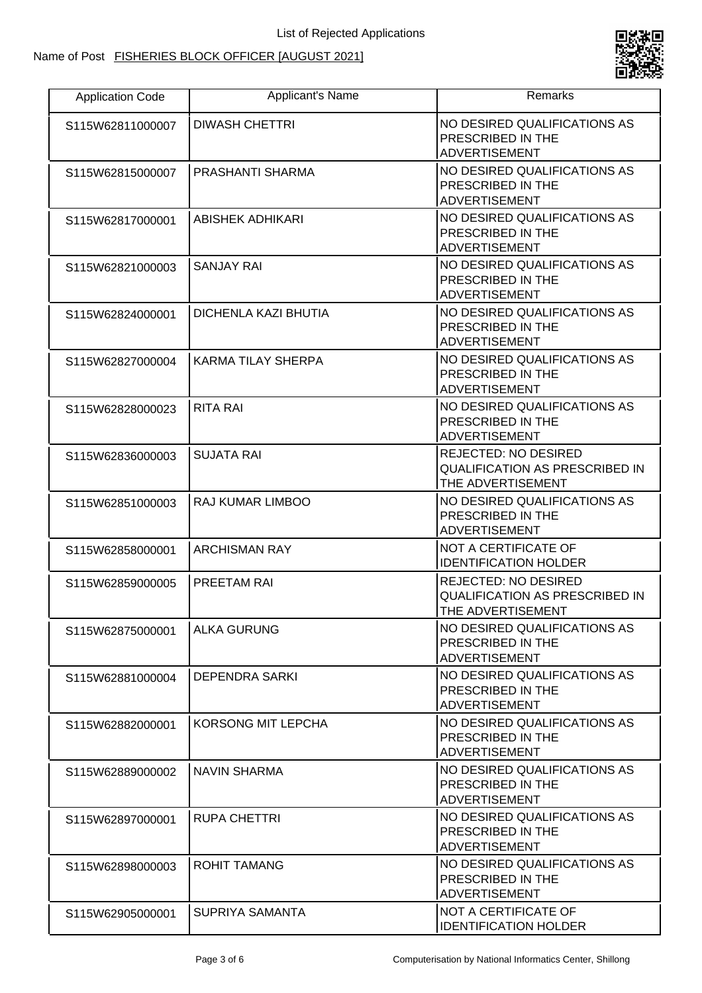#### Name of Post FISHERIES BLOCK OFFICER [AUGUST 2021]



| <b>Application Code</b> | Applicant's Name            | Remarks                                                                                   |
|-------------------------|-----------------------------|-------------------------------------------------------------------------------------------|
| S115W62811000007        | <b>DIWASH CHETTRI</b>       | NO DESIRED QUALIFICATIONS AS<br>PRESCRIBED IN THE<br><b>ADVERTISEMENT</b>                 |
| S115W62815000007        | PRASHANTI SHARMA            | NO DESIRED QUALIFICATIONS AS<br>PRESCRIBED IN THE<br><b>ADVERTISEMENT</b>                 |
| S115W62817000001        | ABISHEK ADHIKARI            | NO DESIRED QUALIFICATIONS AS<br>PRESCRIBED IN THE<br><b>ADVERTISEMENT</b>                 |
| S115W62821000003        | <b>SANJAY RAI</b>           | NO DESIRED QUALIFICATIONS AS<br>PRESCRIBED IN THE<br><b>ADVERTISEMENT</b>                 |
| S115W62824000001        | <b>DICHENLA KAZI BHUTIA</b> | NO DESIRED QUALIFICATIONS AS<br>PRESCRIBED IN THE<br><b>ADVERTISEMENT</b>                 |
| S115W62827000004        | <b>KARMA TILAY SHERPA</b>   | NO DESIRED QUALIFICATIONS AS<br>PRESCRIBED IN THE<br><b>ADVERTISEMENT</b>                 |
| S115W62828000023        | <b>RITA RAI</b>             | NO DESIRED QUALIFICATIONS AS<br>PRESCRIBED IN THE<br><b>ADVERTISEMENT</b>                 |
| S115W62836000003        | <b>SUJATA RAI</b>           | <b>REJECTED: NO DESIRED</b><br><b>QUALIFICATION AS PRESCRIBED IN</b><br>THE ADVERTISEMENT |
| S115W62851000003        | RAJ KUMAR LIMBOO            | NO DESIRED QUALIFICATIONS AS<br>PRESCRIBED IN THE<br><b>ADVERTISEMENT</b>                 |
| S115W62858000001        | <b>ARCHISMAN RAY</b>        | NOT A CERTIFICATE OF<br><b>IDENTIFICATION HOLDER</b>                                      |
| S115W62859000005        | PREETAM RAI                 | <b>REJECTED: NO DESIRED</b><br>QUALIFICATION AS PRESCRIBED IN<br>THE ADVERTISEMENT        |
| S115W62875000001        | <b>ALKA GURUNG</b>          | NO DESIRED QUALIFICATIONS AS<br>PRESCRIBED IN THE<br><b>ADVERTISEMENT</b>                 |
| S115W62881000004        | <b>DEPENDRA SARKI</b>       | NO DESIRED QUALIFICATIONS AS<br><b>PRESCRIBED IN THE</b><br><b>ADVERTISEMENT</b>          |
| S115W62882000001        | KORSONG MIT LEPCHA          | NO DESIRED QUALIFICATIONS AS<br>PRESCRIBED IN THE<br><b>ADVERTISEMENT</b>                 |
| S115W62889000002        | <b>NAVIN SHARMA</b>         | NO DESIRED QUALIFICATIONS AS<br>PRESCRIBED IN THE<br><b>ADVERTISEMENT</b>                 |
| S115W62897000001        | <b>RUPA CHETTRI</b>         | NO DESIRED QUALIFICATIONS AS<br><b>PRESCRIBED IN THE</b><br><b>ADVERTISEMENT</b>          |
| S115W62898000003        | <b>ROHIT TAMANG</b>         | NO DESIRED QUALIFICATIONS AS<br>PRESCRIBED IN THE<br><b>ADVERTISEMENT</b>                 |
| S115W62905000001        | SUPRIYA SAMANTA             | NOT A CERTIFICATE OF<br><b>IDENTIFICATION HOLDER</b>                                      |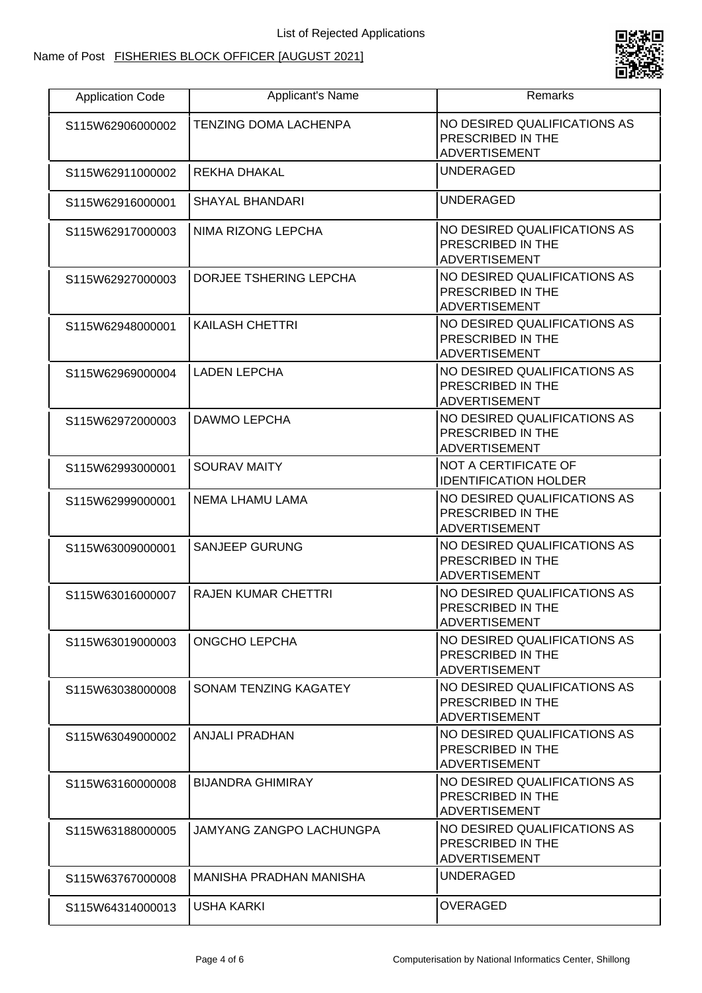#### Name of Post FISHERIES BLOCK OFFICER [AUGUST 2021]



| <b>Application Code</b> | Applicant's Name             | Remarks                                                                   |
|-------------------------|------------------------------|---------------------------------------------------------------------------|
| S115W62906000002        | <b>TENZING DOMA LACHENPA</b> | NO DESIRED QUALIFICATIONS AS<br>PRESCRIBED IN THE<br><b>ADVERTISEMENT</b> |
| S115W62911000002        | REKHA DHAKAL                 | <b>UNDERAGED</b>                                                          |
| S115W62916000001        | SHAYAL BHANDARI              | <b>UNDERAGED</b>                                                          |
| S115W62917000003        | NIMA RIZONG LEPCHA           | NO DESIRED QUALIFICATIONS AS<br>PRESCRIBED IN THE<br><b>ADVERTISEMENT</b> |
| S115W62927000003        | DORJEE TSHERING LEPCHA       | NO DESIRED QUALIFICATIONS AS<br>PRESCRIBED IN THE<br><b>ADVERTISEMENT</b> |
| S115W62948000001        | <b>KAILASH CHETTRI</b>       | NO DESIRED QUALIFICATIONS AS<br>PRESCRIBED IN THE<br><b>ADVERTISEMENT</b> |
| S115W62969000004        | <b>LADEN LEPCHA</b>          | NO DESIRED QUALIFICATIONS AS<br>PRESCRIBED IN THE<br><b>ADVERTISEMENT</b> |
| S115W62972000003        | DAWMO LEPCHA                 | NO DESIRED QUALIFICATIONS AS<br>PRESCRIBED IN THE<br><b>ADVERTISEMENT</b> |
| S115W62993000001        | <b>SOURAV MAITY</b>          | NOT A CERTIFICATE OF<br><b>IDENTIFICATION HOLDER</b>                      |
| S115W62999000001        | NEMA LHAMU LAMA              | NO DESIRED QUALIFICATIONS AS<br>PRESCRIBED IN THE<br><b>ADVERTISEMENT</b> |
| S115W63009000001        | <b>SANJEEP GURUNG</b>        | NO DESIRED QUALIFICATIONS AS<br>PRESCRIBED IN THE<br><b>ADVERTISEMENT</b> |
| S115W63016000007        | <b>RAJEN KUMAR CHETTRI</b>   | NO DESIRED QUALIFICATIONS AS<br>PRESCRIBED IN THE<br>ADVERTISEMENT        |
| S115W63019000003        | ONGCHO LEPCHA                | NO DESIRED QUALIFICATIONS AS<br>PRESCRIBED IN THE<br><b>ADVERTISEMENT</b> |
| S115W63038000008        | SONAM TENZING KAGATEY        | NO DESIRED QUALIFICATIONS AS<br>PRESCRIBED IN THE<br><b>ADVERTISEMENT</b> |
| S115W63049000002        | <b>ANJALI PRADHAN</b>        | NO DESIRED QUALIFICATIONS AS<br>PRESCRIBED IN THE<br><b>ADVERTISEMENT</b> |
| S115W63160000008        | <b>BIJANDRA GHIMIRAY</b>     | NO DESIRED QUALIFICATIONS AS<br>PRESCRIBED IN THE<br><b>ADVERTISEMENT</b> |
| S115W63188000005        | JAMYANG ZANGPO LACHUNGPA     | NO DESIRED QUALIFICATIONS AS<br>PRESCRIBED IN THE<br><b>ADVERTISEMENT</b> |
| S115W63767000008        | MANISHA PRADHAN MANISHA      | <b>UNDERAGED</b>                                                          |
| S115W64314000013        | USHA KARKI                   | <b>OVERAGED</b>                                                           |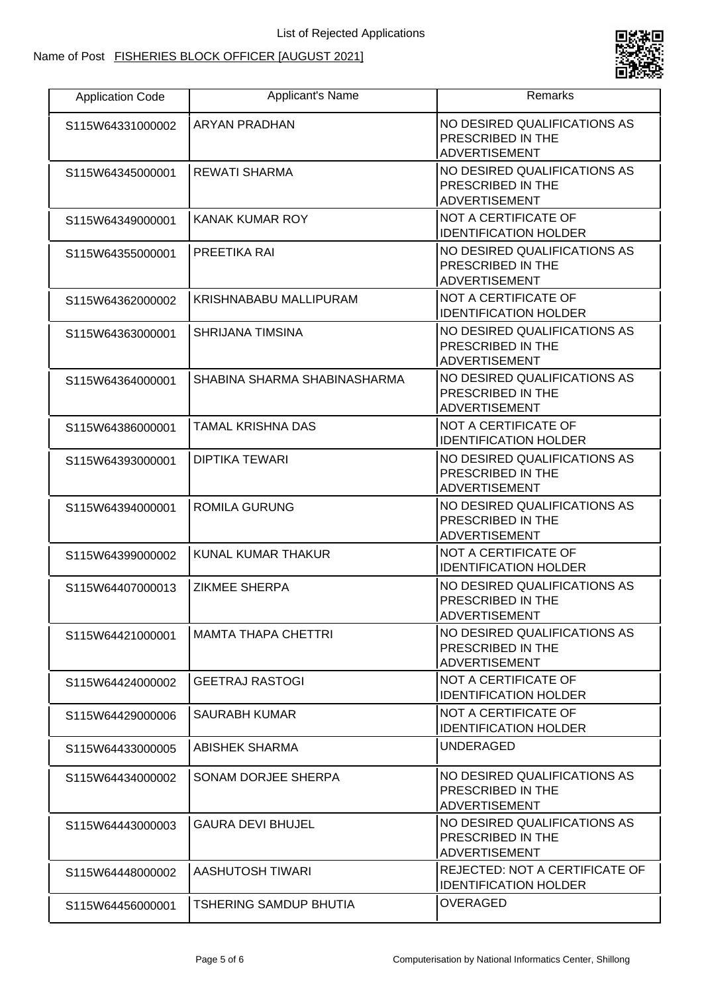

| <b>Application Code</b> | Applicant's Name              | Remarks                                                                   |
|-------------------------|-------------------------------|---------------------------------------------------------------------------|
| S115W64331000002        | <b>ARYAN PRADHAN</b>          | NO DESIRED QUALIFICATIONS AS<br>PRESCRIBED IN THE<br><b>ADVERTISEMENT</b> |
| S115W64345000001        | <b>REWATI SHARMA</b>          | NO DESIRED QUALIFICATIONS AS<br>PRESCRIBED IN THE<br><b>ADVERTISEMENT</b> |
| S115W64349000001        | <b>KANAK KUMAR ROY</b>        | NOT A CERTIFICATE OF<br><b>IDENTIFICATION HOLDER</b>                      |
| S115W64355000001        | PREETIKA RAI                  | NO DESIRED QUALIFICATIONS AS<br>PRESCRIBED IN THE<br><b>ADVERTISEMENT</b> |
| S115W64362000002        | KRISHNABABU MALLIPURAM        | NOT A CERTIFICATE OF<br><b>IDENTIFICATION HOLDER</b>                      |
| S115W64363000001        | <b>SHRIJANA TIMSINA</b>       | NO DESIRED QUALIFICATIONS AS<br>PRESCRIBED IN THE<br><b>ADVERTISEMENT</b> |
| S115W64364000001        | SHABINA SHARMA SHABINASHARMA  | NO DESIRED QUALIFICATIONS AS<br>PRESCRIBED IN THE<br><b>ADVERTISEMENT</b> |
| S115W64386000001        | <b>TAMAL KRISHNA DAS</b>      | NOT A CERTIFICATE OF<br><b>IDENTIFICATION HOLDER</b>                      |
| S115W64393000001        | <b>DIPTIKA TEWARI</b>         | NO DESIRED QUALIFICATIONS AS<br>PRESCRIBED IN THE<br><b>ADVERTISEMENT</b> |
| S115W64394000001        | <b>ROMILA GURUNG</b>          | NO DESIRED QUALIFICATIONS AS<br>PRESCRIBED IN THE<br>ADVERTISEMENT        |
| S115W64399000002        | KUNAL KUMAR THAKUR            | NOT A CERTIFICATE OF<br><b>IDENTIFICATION HOLDER</b>                      |
| S115W64407000013        | <b>ZIKMEE SHERPA</b>          | NO DESIRED QUALIFICATIONS AS<br>PRESCRIBED IN THE<br><b>ADVERTISEMENT</b> |
| S115W64421000001        | <b>MAMTA THAPA CHETTRI</b>    | <b>NO DESIRED QUALIFICATIONS AS</b><br>PRESCRIBED IN THE<br>ADVERTISEMENT |
| S115W64424000002        | <b>GEETRAJ RASTOGI</b>        | NOT A CERTIFICATE OF<br><b>IDENTIFICATION HOLDER</b>                      |
| S115W64429000006        | SAURABH KUMAR                 | NOT A CERTIFICATE OF<br><b>IDENTIFICATION HOLDER</b>                      |
| S115W64433000005        | <b>ABISHEK SHARMA</b>         | UNDERAGED                                                                 |
| S115W64434000002        | SONAM DORJEE SHERPA           | NO DESIRED QUALIFICATIONS AS<br>PRESCRIBED IN THE<br><b>ADVERTISEMENT</b> |
| S115W64443000003        | <b>GAURA DEVI BHUJEL</b>      | NO DESIRED QUALIFICATIONS AS<br>PRESCRIBED IN THE<br>ADVERTISEMENT        |
| S115W64448000002        | AASHUTOSH TIWARI              | REJECTED: NOT A CERTIFICATE OF<br><b>IDENTIFICATION HOLDER</b>            |
| S115W64456000001        | <b>TSHERING SAMDUP BHUTIA</b> | <b>OVERAGED</b>                                                           |